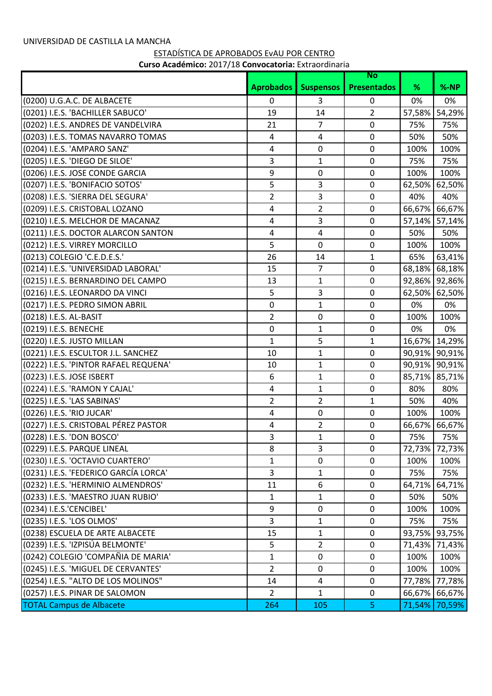|                                       |                  |                  | <b>No</b>          |        |               |
|---------------------------------------|------------------|------------------|--------------------|--------|---------------|
|                                       | <b>Aprobados</b> | <b>Suspensos</b> | <b>Presentados</b> | %      | %-NP          |
| (0200) U.G.A.C. DE ALBACETE           | $\Omega$         | 3                | 0                  | 0%     | 0%            |
| (0201) I.E.S. 'BACHILLER SABUCO'      | 19               | 14               | $\overline{2}$     | 57,58% | 54,29%        |
| (0202) I.E.S. ANDRES DE VANDELVIRA    | 21               | $\overline{7}$   | 0                  | 75%    | 75%           |
| (0203) I.E.S. TOMAS NAVARRO TOMAS     | 4                | 4                | 0                  | 50%    | 50%           |
| (0204) I.E.S. 'AMPARO SANZ'           | 4                | $\mathbf 0$      | 0                  | 100%   | 100%          |
| (0205) I.E.S. 'DIEGO DE SILOE'        | 3                | $\mathbf{1}$     | 0                  | 75%    | 75%           |
| (0206) I.E.S. JOSE CONDE GARCIA       | 9                | $\boldsymbol{0}$ | 0                  | 100%   | 100%          |
| (0207) I.E.S. 'BONIFACIO SOTOS'       | 5                | 3                | $\mathbf 0$        | 62,50% | 62,50%        |
| (0208) I.E.S. 'SIERRA DEL SEGURA'     | $\overline{2}$   | 3                | 0                  | 40%    | 40%           |
| (0209) I.E.S. CRISTOBAL LOZANO        | 4                | $\overline{2}$   | 0                  | 66,67% | 66,67%        |
| (0210) I.E.S. MELCHOR DE MACANAZ      | 4                | 3                | 0                  | 57,14% | 57,14%        |
| (0211) I.E.S. DOCTOR ALARCON SANTON   | 4                | 4                | 0                  | 50%    | 50%           |
| (0212) I.E.S. VIRREY MORCILLO         | 5                | $\mathbf 0$      | 0                  | 100%   | 100%          |
| (0213) COLEGIO 'C.E.D.E.S.'           | 26               | 14               | $\mathbf{1}$       | 65%    | 63,41%        |
| (0214) I.E.S. 'UNIVERSIDAD LABORAL'   | 15               | $\overline{7}$   | $\pmb{0}$          | 68,18% | 68,18%        |
| (0215) I.E.S. BERNARDINO DEL CAMPO    | 13               | $\mathbf{1}$     | 0                  |        | 92,86% 92,86% |
| (0216) I.E.S. LEONARDO DA VINCI       | 5                | 3                | 0                  | 62,50% | 62,50%        |
| (0217) I.E.S. PEDRO SIMON ABRIL       | 0                | 1                | 0                  | 0%     | 0%            |
| (0218) I.E.S. AL-BASIT                | $\overline{2}$   | $\mathbf 0$      | 0                  | 100%   | 100%          |
| (0219) I.E.S. BENECHE                 | 0                | $\mathbf{1}$     | 0                  | 0%     | 0%            |
| (0220) I.E.S. JUSTO MILLAN            | $\mathbf{1}$     | 5                | $\mathbf{1}$       |        | 16,67% 14,29% |
| (0221) I.E.S. ESCULTOR J.L. SANCHEZ   | 10               | $\mathbf{1}$     | $\pmb{0}$          |        | 90,91% 90,91% |
| (0222) I.E.S. 'PINTOR RAFAEL REQUENA' | 10               | $\mathbf{1}$     | 0                  |        | 90,91% 90,91% |
| (0223) I.E.S. JOSE ISBERT             | 6                | $\mathbf{1}$     | 0                  | 85,71% | 85,71%        |
| (0224) I.E.S. 'RAMON Y CAJAL'         | 4                | $\mathbf{1}$     | 0                  | 80%    | 80%           |
| (0225) I.E.S. 'LAS SABINAS'           | $\overline{2}$   | $\overline{2}$   | $\mathbf{1}$       | 50%    | 40%           |
| (0226) I.E.S. 'RIO JUCAR'             | 4                | $\mathbf 0$      | 0                  | 100%   | 100%          |
| (0227) I.E.S. CRISTOBAL PÉREZ PASTOR  | 4                | $\overline{2}$   | 0                  | 66,67% | 66,67%        |
| (0228) I.E.S. 'DON BOSCO'             | 3                | $\mathbf{1}$     | $\mathbf{0}$       | 75%    | 75%           |
| (0229) I.E.S. PARQUE LINEAL           | 8                | 3                | 0                  |        | 72,73% 72,73% |
| (0230) I.E.S. 'OCTAVIO CUARTERO'      | 1                | 0                | 0                  | 100%   | 100%          |
| (0231) I.E.S. 'FEDERICO GARCÍA LORCA' | $\overline{3}$   | $\mathbf{1}$     | 0                  | 75%    | 75%           |
| (0232) I.E.S. 'HERMINIO ALMENDROS'    | 11               | 6                | 0                  | 64,71% | 64,71%        |
| (0233) I.E.S. 'MAESTRO JUAN RUBIO'    | $\mathbf{1}$     | $\mathbf{1}$     | 0                  | 50%    | 50%           |
| (0234) I.E.S.'CENCIBEL'               | 9                | $\boldsymbol{0}$ | 0                  | 100%   | 100%          |
| (0235) I.E.S. 'LOS OLMOS'             | 3                | $\mathbf{1}$     | 0                  | 75%    | 75%           |
| (0238) ESCUELA DE ARTE ALBACETE       | 15               | $\mathbf{1}$     | 0                  | 93,75% | 93,75%        |
| (0239) I.E.S. 'IZPISÚA BELMONTE'      | 5                | $\overline{2}$   | 0                  | 71,43% | 71,43%        |
| (0242) COLEGIO 'COMPAÑIA DE MARIA'    | $\mathbf 1$      | $\pmb{0}$        | 0                  | 100%   | 100%          |
| (0245) I.E.S. 'MIGUEL DE CERVANTES'   | $\overline{2}$   | $\pmb{0}$        | 0                  | 100%   | 100%          |
| (0254) I.E.S. "ALTO DE LOS MOLINOS"   | 14               | 4                | 0                  | 77,78% | 77,78%        |
| (0257) I.E.S. PINAR DE SALOMON        | $\overline{2}$   | $\mathbf{1}$     | 0                  | 66,67% | 66,67%        |
| <b>TOTAL Campus de Albacete</b>       | 264              | 105              | 5 <sub>1</sub>     | 71,54% | 70,59%        |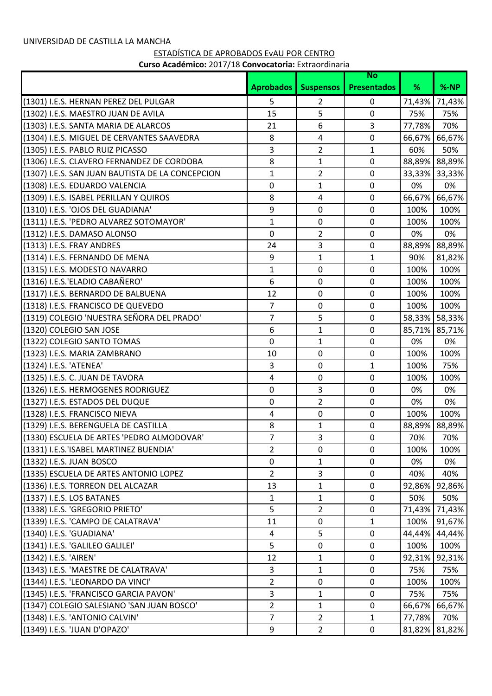|                                                  |                  |                  | <b>No</b>          |        |               |
|--------------------------------------------------|------------------|------------------|--------------------|--------|---------------|
|                                                  | <b>Aprobados</b> | <b>Suspensos</b> | <b>Presentados</b> | %      | <b>%-NP</b>   |
| (1301) I.E.S. HERNAN PEREZ DEL PULGAR            | 5                | $\overline{2}$   | 0                  | 71,43% | 71,43%        |
| (1302) I.E.S. MAESTRO JUAN DE AVILA              | 15               | 5                | $\mathbf 0$        | 75%    | 75%           |
| (1303) I.E.S. SANTA MARIA DE ALARCOS             | 21               | 6                | 3                  | 77,78% | 70%           |
| (1304) I.E.S. MIGUEL DE CERVANTES SAAVEDRA       | 8                | 4                | $\mathbf 0$        | 66,67% | 66,67%        |
| (1305) I.E.S. PABLO RUIZ PICASSO                 | 3                | $\overline{2}$   | $\mathbf{1}$       | 60%    | 50%           |
| (1306) I.E.S. CLAVERO FERNANDEZ DE CORDOBA       | 8                | $\mathbf{1}$     | $\pmb{0}$          |        | 88,89% 88,89% |
| (1307) I.E.S. SAN JUAN BAUTISTA DE LA CONCEPCION | $\mathbf{1}$     | $\overline{2}$   | 0                  |        | 33,33% 33,33% |
| (1308) I.E.S. EDUARDO VALENCIA                   | 0                | 1                | 0                  | 0%     | 0%            |
| (1309) I.E.S. ISABEL PERILLAN Y QUIROS           | 8                | $\overline{a}$   | $\mathbf 0$        | 66,67% | 66,67%        |
| (1310) I.E.S. 'OJOS DEL GUADIANA'                | 9                | $\pmb{0}$        | $\mathbf 0$        | 100%   | 100%          |
| (1311) I.E.S. 'PEDRO ALVAREZ SOTOMAYOR'          | $\mathbf{1}$     | $\boldsymbol{0}$ | $\mathbf 0$        | 100%   | 100%          |
| (1312) I.E.S. DAMASO ALONSO                      | 0                | $\overline{2}$   | $\mathbf 0$        | 0%     | 0%            |
| (1313) I.E.S. FRAY ANDRES                        | 24               | 3                | 0                  | 88,89% | 88,89%        |
| (1314) I.E.S. FERNANDO DE MENA                   | 9                | 1                | $\mathbf{1}$       | 90%    | 81,82%        |
| (1315) I.E.S. MODESTO NAVARRO                    | $\mathbf{1}$     | $\mathbf 0$      | $\mathbf 0$        | 100%   | 100%          |
| (1316) I.E.S.'ELADIO CABAÑERO'                   | 6                | $\boldsymbol{0}$ | $\mathbf 0$        | 100%   | 100%          |
| (1317) I.E.S. BERNARDO DE BALBUENA               | 12               | $\mathbf 0$      | $\mathbf 0$        | 100%   | 100%          |
| (1318) I.E.S. FRANCISCO DE QUEVEDO               | $\overline{7}$   | $\mathbf 0$      | 0                  | 100%   | 100%          |
| (1319) COLEGIO 'NUESTRA SEÑORA DEL PRADO'        | $\overline{7}$   | 5                | 0                  |        | 58,33% 58,33% |
| (1320) COLEGIO SAN JOSE                          | 6                | $\mathbf{1}$     | 0                  |        | 85,71% 85,71% |
| (1322) COLEGIO SANTO TOMAS                       | 0                | $\mathbf{1}$     | $\mathbf 0$        | 0%     | 0%            |
| (1323) I.E.S. MARIA ZAMBRANO                     | 10               | $\pmb{0}$        | $\mathbf 0$        | 100%   | 100%          |
| (1324) I.E.S. 'ATENEA'                           | 3                | $\boldsymbol{0}$ | $\mathbf{1}$       | 100%   | 75%           |
| (1325) I.E.S. C. JUAN DE TAVORA                  | $\overline{4}$   | $\boldsymbol{0}$ | $\mathbf 0$        | 100%   | 100%          |
| (1326) I.E.S. HERMOGENES RODRIGUEZ               | 0                | 3                | 0                  | 0%     | 0%            |
| (1327) I.E.S. ESTADOS DEL DUQUE                  | 0                | $\overline{2}$   | 0                  | 0%     | 0%            |
| (1328) I.E.S. FRANCISCO NIEVA                    | 4                | $\boldsymbol{0}$ | 0                  | 100%   | 100%          |
| (1329) I.E.S. BERENGUELA DE CASTILLA             | 8                | $\mathbf{1}$     | $\mathbf 0$        | 88,89% | 88,89%        |
| (1330) ESCUELA DE ARTES 'PEDRO ALMODOVAR'        | $\overline{7}$   | 3                | 0                  | 70%    | 70%           |
| (1331) I.E.S.'ISABEL MARTINEZ BUENDIA'           | $\overline{2}$   | 0                | $\mathbf 0$        | 100%   | 100%          |
| (1332) I.E.S. JUAN BOSCO                         | 0                | 1                | 0                  | 0%     | 0%            |
| (1335) ESCUELA DE ARTES ANTONIO LOPEZ            | $\overline{2}$   | 3                | 0                  | 40%    | 40%           |
| (1336) I.E.S. TORREON DEL ALCAZAR                | 13               | 1                | 0                  | 92,86% | 92,86%        |
| (1337) I.E.S. LOS BATANES                        | $\mathbf{1}$     | $\mathbf{1}$     | $\mathbf 0$        | 50%    | 50%           |
| (1338) I.E.S. 'GREGORIO PRIETO'                  | 5                | $\overline{2}$   | 0                  | 71,43% | 71,43%        |
| (1339) I.E.S. 'CAMPO DE CALATRAVA'               | 11               | $\mathbf 0$      | $\mathbf{1}$       | 100%   | 91,67%        |
| (1340) I.E.S. 'GUADIANA'                         | 4                | 5                | $\mathbf 0$        | 44,44% | 44,44%        |
| (1341) I.E.S. 'GALILEO GALILEI'                  | 5                | 0                | 0                  | 100%   | 100%          |
| (1342) I.E.S. 'AIREN'                            | 12               | $\mathbf{1}$     | 0                  |        | 92,31% 92,31% |
| (1343) I.E.S. 'MAESTRE DE CALATRAVA'             | $\overline{3}$   | $\mathbf{1}$     | 0                  | 75%    | 75%           |
| (1344) I.E.S. 'LEONARDO DA VINCI'                | $\overline{2}$   | $\mathbf 0$      | $\mathbf 0$        | 100%   | 100%          |
| (1345) I.E.S. 'FRANCISCO GARCIA PAVON'           | 3                | $\mathbf{1}$     | $\mathbf 0$        | 75%    | 75%           |
| (1347) COLEGIO SALESIANO 'SAN JUAN BOSCO'        | $\overline{2}$   | 1                | 0                  | 66,67% | 66,67%        |
| (1348) I.E.S. 'ANTONIO CALVIN'                   | $\overline{7}$   | $\overline{2}$   | $\mathbf{1}$       | 77,78% | 70%           |
| (1349) I.E.S. 'JUAN D'OPAZO'                     | 9                | $\overline{2}$   | 0                  | 81,82% | 81,82%        |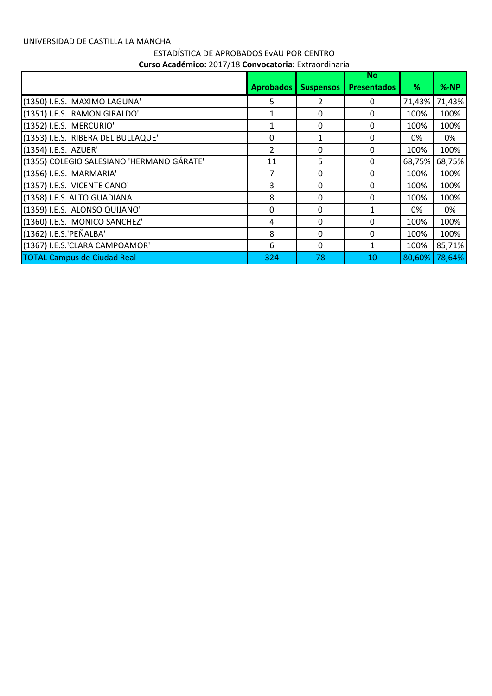|                                           |                  |                  | <b>No</b>          |        |        |
|-------------------------------------------|------------------|------------------|--------------------|--------|--------|
|                                           | <b>Aprobados</b> | <b>Suspensos</b> | <b>Presentados</b> | %      | %-NP   |
| (1350) I.E.S. 'MAXIMO LAGUNA'             | 5                | $\mathcal{P}$    | $\Omega$           | 71,43% | 71,43% |
| (1351) I.E.S. 'RAMON GIRALDO'             | 1                | 0                | $\Omega$           | 100%   | 100%   |
| (1352) I.E.S. 'MERCURIO'                  | 1                | 0                | 0                  | 100%   | 100%   |
| (1353) I.E.S. 'RIBERA DEL BULLAQUE'       | $\Omega$         | 1                | $\Omega$           | 0%     | 0%     |
| (1354) I.E.S. 'AZUER'                     | $\overline{2}$   | 0                | $\Omega$           | 100%   | 100%   |
| (1355) COLEGIO SALESIANO 'HERMANO GÁRATE' | 11               | 5                | 0                  | 68,75% | 68,75% |
| (1356) I.E.S. 'MARMARIA'                  |                  | 0                | $\Omega$           | 100%   | 100%   |
| (1357) I.E.S. 'VICENTE CANO'              | 3                | $\Omega$         | $\Omega$           | 100%   | 100%   |
| (1358) I.E.S. ALTO GUADIANA               | 8                | 0                | $\Omega$           | 100%   | 100%   |
| (1359) I.E.S. 'ALONSO QUIJANO'            | $\mathbf{0}$     | 0                |                    | 0%     | 0%     |
| (1360) I.E.S. 'MONICO SANCHEZ'            | 4                | 0                | 0                  | 100%   | 100%   |
| (1362) I.E.S.'PEÑALBA'                    | 8                | 0                | $\Omega$           | 100%   | 100%   |
| (1367) I.E.S.'CLARA CAMPOAMOR'            | 6                | 0                |                    | 100%   | 85,71% |
| <b>TOTAL Campus de Ciudad Real</b>        | 324              | 78               | 10                 | 80,60% | 78,64% |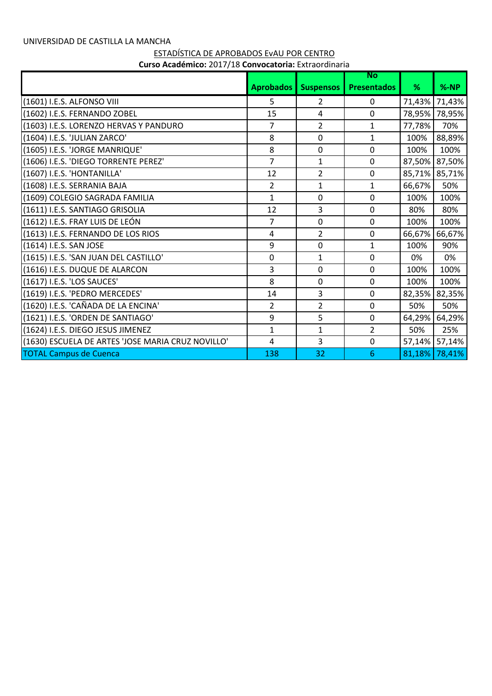|                                                   |                  |                  | <b>No</b>          |        |               |
|---------------------------------------------------|------------------|------------------|--------------------|--------|---------------|
|                                                   | <b>Aprobados</b> | <b>Suspensos</b> | <b>Presentados</b> | %      | %-NP          |
| (1601) I.E.S. ALFONSO VIII                        | 5.               | 2                | 0                  | 71,43% | 71,43%        |
| (1602) I.E.S. FERNANDO ZOBEL                      | 15               | $\overline{4}$   | $\mathbf 0$        | 78,95% | 78,95%        |
| (1603) I.E.S. LORENZO HERVAS Y PANDURO            | 7                | $\overline{2}$   | $\mathbf{1}$       | 77,78% | 70%           |
| (1604) I.E.S. 'JULIAN ZARCO'                      | 8                | $\mathbf 0$      | $\mathbf{1}$       | 100%   | 88,89%        |
| (1605) I.E.S. 'JORGE MANRIQUE'                    | 8                | 0                | $\Omega$           | 100%   | 100%          |
| (1606) I.E.S. 'DIEGO TORRENTE PEREZ'              | $\overline{7}$   | $\mathbf{1}$     | $\mathbf 0$        | 87,50% | 87,50%        |
| (1607) I.E.S. 'HONTANILLA'                        | 12               | $\overline{2}$   | $\mathbf 0$        | 85,71% | 85,71%        |
| (1608) I.E.S. SERRANIA BAJA                       | $\overline{2}$   | $\mathbf{1}$     | $\mathbf{1}$       | 66,67% | 50%           |
| (1609) COLEGIO SAGRADA FAMILIA                    | $\mathbf{1}$     | $\mathbf 0$      | $\mathbf 0$        | 100%   | 100%          |
| (1611) I.E.S. SANTIAGO GRISOLIA                   | 12               | 3                | $\mathbf 0$        | 80%    | 80%           |
| (1612) I.E.S. FRAY LUIS DE LEÓN                   | $\overline{7}$   | $\mathbf 0$      | $\mathbf 0$        | 100%   | 100%          |
| (1613) I.E.S. FERNANDO DE LOS RIOS                | 4                | $\overline{2}$   | $\mathbf 0$        | 66,67% | 66,67%        |
| (1614) I.E.S. SAN JOSE                            | 9                | $\mathbf 0$      | $\mathbf{1}$       | 100%   | 90%           |
| (1615) I.E.S. 'SAN JUAN DEL CASTILLO'             | $\mathbf 0$      | 1                | 0                  | 0%     | 0%            |
| (1616) I.E.S. DUQUE DE ALARCON                    | 3                | 0                | 0                  | 100%   | 100%          |
| (1617) I.E.S. 'LOS SAUCES'                        | 8                | 0                | 0                  | 100%   | 100%          |
| (1619) I.E.S. 'PEDRO MERCEDES'                    | 14               | 3                | $\mathbf 0$        | 82,35% | 82,35%        |
| (1620) I.E.S. 'CAÑADA DE LA ENCINA'               | $\overline{2}$   | $\overline{2}$   | $\mathbf 0$        | 50%    | 50%           |
| (1621) I.E.S. 'ORDEN DE SANTIAGO'                 | 9                | 5                | 0                  | 64,29% | 64,29%        |
| (1624) I.E.S. DIEGO JESUS JIMENEZ                 | $\mathbf{1}$     | $\mathbf{1}$     | $\overline{2}$     | 50%    | 25%           |
| (1630) ESCUELA DE ARTES 'JOSE MARIA CRUZ NOVILLO' | $\overline{4}$   | 3                | $\mathbf 0$        | 57,14% | 57,14%        |
| <b>TOTAL Campus de Cuenca</b>                     | 138              | 32               | 6                  |        | 81,18% 78,41% |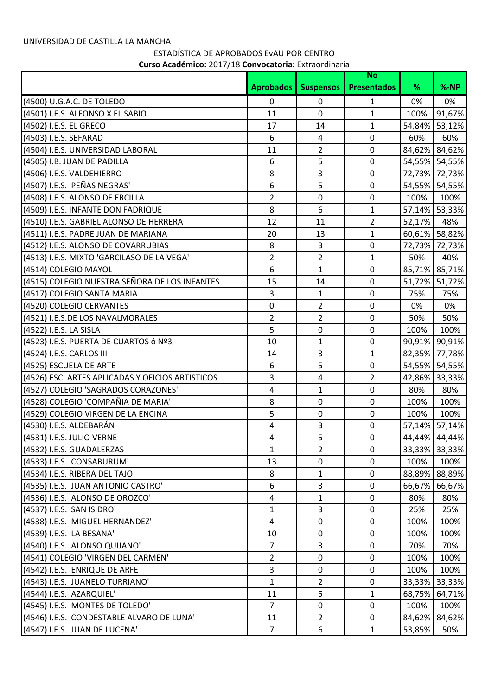| ESTADÍSTICA DE APROBADOS EVAU POR CENTRO              |
|-------------------------------------------------------|
| Curso Académico: 2017/18 Convocatoria: Extraordinaria |

|                                                  |                         |                  | <b>No</b>          |        |               |
|--------------------------------------------------|-------------------------|------------------|--------------------|--------|---------------|
|                                                  | <b>Aprobados</b>        | <b>Suspensos</b> | <b>Presentados</b> | %      | %-NP          |
| (4500) U.G.A.C. DE TOLEDO                        | 0                       | 0                | 1                  | 0%     | 0%            |
| (4501) I.E.S. ALFONSO X EL SABIO                 | 11                      | 0                | $\mathbf{1}$       | 100%   | 91,67%        |
| (4502) I.E.S. EL GRECO                           | 17                      | 14               | $\mathbf{1}$       | 54,84% | 53,12%        |
| (4503) I.E.S. SEFARAD                            | 6                       | 4                | 0                  | 60%    | 60%           |
| (4504) I.E.S. UNIVERSIDAD LABORAL                | 11                      | $\overline{2}$   | $\mathbf 0$        |        | 84,62% 84,62% |
| (4505) I.B. JUAN DE PADILLA                      | 6                       | 5                | 0                  |        | 54,55% 54,55% |
| (4506) I.E.S. VALDEHIERRO                        | 8                       | 3                | $\mathbf 0$        |        | 72,73% 72,73% |
| (4507) I.E.S. 'PEÑAS NEGRAS'                     | 6                       | 5                | $\mathbf 0$        |        | 54,55% 54,55% |
| (4508) I.E.S. ALONSO DE ERCILLA                  | $\overline{2}$          | 0                | 0                  | 100%   | 100%          |
| (4509) I.E.S. INFANTE DON FADRIQUE               | 8                       | 6                | $\mathbf{1}$       |        | 57,14% 53,33% |
| (4510) I.E.S. GABRIEL ALONSO DE HERRERA          | 12                      | 11               | 2                  | 52,17% | 48%           |
| (4511) I.E.S. PADRE JUAN DE MARIANA              | 20                      | 13               | $\mathbf{1}$       |        | 60,61% 58,82% |
| (4512) I.E.S. ALONSO DE COVARRUBIAS              | 8                       | 3                | $\pmb{0}$          |        | 72,73% 72,73% |
| (4513) I.E.S. MIXTO 'GARCILASO DE LA VEGA'       | $\overline{2}$          | $\overline{2}$   | $\mathbf{1}$       | 50%    | 40%           |
| (4514) COLEGIO MAYOL                             | 6                       | $\mathbf{1}$     | $\mathbf 0$        |        | 85,71% 85,71% |
| (4515) COLEGIO NUESTRA SEÑORA DE LOS INFANTES    | 15                      | 14               | 0                  |        | 51,72% 51,72% |
| (4517) COLEGIO SANTA MARIA                       | 3                       | $\mathbf{1}$     | 0                  | 75%    | 75%           |
| (4520) COLEGIO CERVANTES                         | 0                       | $\overline{2}$   | 0                  | 0%     | 0%            |
| (4521) I.E.S.DE LOS NAVALMORALES                 | $\overline{2}$          | $\overline{2}$   | $\pmb{0}$          | 50%    | 50%           |
| (4522) I.E.S. LA SISLA                           | 5                       | $\pmb{0}$        | $\pmb{0}$          | 100%   | 100%          |
| (4523) I.E.S. PUERTA DE CUARTOS ó Nº3            | 10                      | $\mathbf{1}$     | $\pmb{0}$          | 90,91% | 90,91%        |
| (4524) I.E.S. CARLOS III                         | 14                      | 3                | $\mathbf{1}$       |        | 82,35% 77,78% |
| (4525) ESCUELA DE ARTE                           | 6                       | 5                | 0                  |        | 54,55% 54,55% |
| (4526) ESC. ARTES APLICADAS Y OFICIOS ARTISTICOS | 3                       | 4                | $\overline{2}$     | 42,86% | 33,33%        |
| (4527) COLEGIO 'SAGRADOS CORAZONES'              | $\overline{\mathbf{4}}$ | $\mathbf{1}$     | $\pmb{0}$          | 80%    | 80%           |
| (4528) COLEGIO 'COMPAÑIA DE MARIA'               | 8                       | 0                | $\mathbf 0$        | 100%   | 100%          |
| (4529) COLEGIO VIRGEN DE LA ENCINA               | 5                       | $\mathbf 0$      | $\mathbf 0$        | 100%   | 100%          |
| (4530) I.E.S. ALDEBARÁN                          | 4                       | 3                | 0                  |        | 57,14% 57,14% |
| (4531) I.E.S. JULIO VERNE                        | 4                       | 5                | $\mathbf 0$        |        | 44,44% 44,44% |
| (4532) I.E.S. GUADALERZAS                        | 1                       | $\overline{2}$   | 0                  |        | 33,33% 33,33% |
| (4533) I.E.S. 'CONSABURUM'                       | 13                      | 0                | 0                  | 100%   | 100%          |
| (4534) I.E.S. RIBERA DEL TAJO                    | 8                       | $\mathbf{1}$     | $\mathbf 0$        | 88,89% | 88,89%        |
| (4535) I.E.S. 'JUAN ANTONIO CASTRO'              | 6                       | 3                | 0                  | 66,67% | 66,67%        |
| (4536) I.E.S. 'ALONSO DE OROZCO'                 | $\overline{\mathbf{4}}$ | $\mathbf{1}$     | $\pmb{0}$          | 80%    | 80%           |
| (4537) I.E.S. 'SAN ISIDRO'                       | 1                       | 3                | 0                  | 25%    | 25%           |
| (4538) I.E.S. 'MIGUEL HERNANDEZ'                 | $\overline{4}$          | 0                | $\mathbf 0$        | 100%   | 100%          |
| (4539) I.E.S. 'LA BESANA'                        | 10                      | $\pmb{0}$        | 0                  | 100%   | 100%          |
| (4540) I.E.S. 'ALONSO QUIJANO'                   | $\overline{7}$          | 3                | $\pmb{0}$          | 70%    | 70%           |
| (4541) COLEGIO 'VIRGEN DEL CARMEN'               | $\overline{2}$          | $\pmb{0}$        | $\pmb{0}$          | 100%   | 100%          |
| (4542) I.E.S. 'ENRIQUE DE ARFE                   | 3                       | 0                | $\mathbf 0$        | 100%   | 100%          |
| (4543) I.E.S. 'JUANELO TURRIANO'                 | $\mathbf{1}$            | $\overline{2}$   | 0                  | 33,33% | 33,33%        |
| (4544) I.E.S. 'AZARQUIEL'                        | 11                      | 5                | $\mathbf{1}$       | 68,75% | 64,71%        |
| (4545) I.E.S. 'MONTES DE TOLEDO'                 | $\overline{7}$          | $\mathbf 0$      | $\mathbf 0$        | 100%   | 100%          |
| (4546) I.E.S. 'CONDESTABLE ALVARO DE LUNA'       | 11                      | $\overline{2}$   | 0                  | 84,62% | 84,62%        |
| (4547) I.E.S. 'JUAN DE LUCENA'                   | $\overline{7}$          | 6                | $\mathbf{1}$       | 53,85% | 50%           |